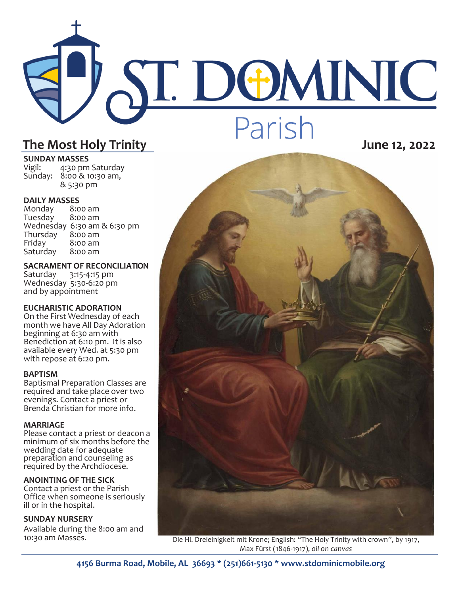# ST. DOMINIC Parish **The Most Holy Trinity June 12, 2022**

**SUNDAY MASSES**<br>Vigil: 4:30 pm 4:30 pm Saturday Sunday: 8:00 & 10:30 am, & 5:30 pm

## **DAILY MASSES**

Monday 8:00 am Tuesday Wednesday 6:30 am & 6:30 pm Thursday<br>Friday  $8:00$  am<br> $8:00$  am Saturday

**SACRAMENT OF RECONCILIATION** Saturday 3:15-4:15 pm Wednesday 5:30-6:20 pm and by appointment

#### **EUCHARISTIC ADORATION**

On the First Wednesday of each month we have All Day Adoration beginning at 6:30 am with Benediction at 6:10 pm. It is also available every Wed. at 5:30 pm with repose at 6:20 pm.

#### **BAPTISM**

Baptismal Preparation Classes are required and take place over two evenings. Contact a priest or Brenda Christian for more info.

#### **MARRIAGE**

Please contact a priest or deacon a minimum of six months before the wedding date for adequate preparation and counseling as required by the Archdiocese.

#### **ANOINTING OF THE SICK**

Contact a priest or the Parish Office when someone is seriously ill or in the hospital.

#### **SUNDAY NURSERY**

Available during the 8:00 am and 10:30 am Masses.



Die Hl. Dreieinigkeit mit Krone; English: "The Holy Trinity with crown", by 1917, Max Fűrst (1846-1917), *oil on canvas*

**4156 Burma Road, Mobile, AL 36693 \* (251)661-5130 \* www.stdominicmobile.org**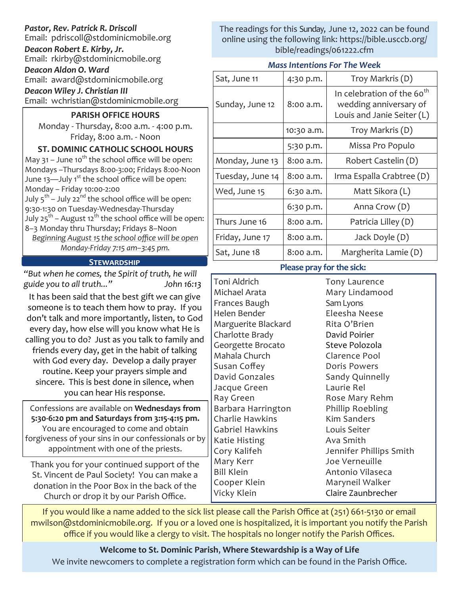### *Pastor, Rev. Patrick R. Driscoll*

Email: pdriscoll@stdominicmobile.org

*Deacon Robert E. Kirby, Jr.*

Email: rkirby@stdominicmobile.org

*Deacon Aldon O. Ward*

Email: award@stdominicmobile.org

*Deacon Wiley J. Christian III*

Email: wchristian@stdominicmobile.org

#### **PARISH OFFICE HOURS**

Monday - Thursday, 8:00 a.m. - 4:00 p.m. Friday, 8:00 a.m. - Noon

**ST. DOMINIC CATHOLIC SCHOOL HOURS**  May 31 – June 10<sup>th</sup> the school office will be open: Mondays –Thursdays 8:00-3:00; Fridays 8:00-Noon June  $13$ —July  $1<sup>st</sup>$  the school office will be open: Monday – Friday 10:00-2:00 July 5<sup>th</sup> – July 22<sup>nd</sup> the school office will be open: 9:30-1:30 on Tuesday-Wednesday-Thursday July 25<sup>th</sup> – August 12<sup>th</sup> the school office will be open: 8–3 Monday thru Thursday; Fridays 8–Noon *Beginning August 15 the school office will be open* 

*Monday-Friday 7:15 am–3:45 pm.*

#### **Stewardship**

*"But when he comes, the Spirit of truth, he will guide you to all truth..." John 16:13*

It has been said that the best gift we can give someone is to teach them how to pray. If you don't talk and more importantly, listen, to God every day, how else will you know what He is calling you to do? Just as you talk to family and friends every day, get in the habit of talking with God every day. Develop a daily prayer routine. Keep your prayers simple and sincere. This is best done in silence, when you can hear His response.

Confessions are available on **Wednesdays from 5:30-6:20 pm and Saturdays from 3:15-4:15 pm.**  You are encouraged to come and obtain forgiveness of your sins in our confessionals or by appointment with one of the priests.

Thank you for your continued support of the St. Vincent de Paul Society! You can make a donation in the Poor Box in the back of the Church or drop it by our Parish Office.

The readings for this Sunday, June 12, 2022 can be found online using the following link: https://bible.usccb.org/ bible/readings/061222.cfm

#### *Mass Intentions For The Week*

| Sat, June 11     | 4:30 p.m.  | Troy Markris (D)                                                                               |
|------------------|------------|------------------------------------------------------------------------------------------------|
| Sunday, June 12  | 8:00 a.m.  | In celebration of the 60 <sup>th</sup><br>wedding anniversary of<br>Louis and Janie Seiter (L) |
|                  | 10:30 a.m. | Troy Markris (D)                                                                               |
|                  | 5:30 p.m.  | Missa Pro Populo                                                                               |
| Monday, June 13  | 8:00 a.m.  | Robert Castelin (D)                                                                            |
| Tuesday, June 14 | 8:00 a.m.  | Irma Espalla Crabtree (D)                                                                      |
| Wed, June 15     | 6:30 a.m.  | Matt Sikora (L)                                                                                |
|                  | 6:30 p.m.  | Anna Crow (D)                                                                                  |
| Thurs June 16    | 8:00 a.m.  | Patricia Lilley (D)                                                                            |
| Friday, June 17  | 8:00 a.m.  | Jack Doyle (D)                                                                                 |
| Sat, June 18     | 8:00 a.m.  | Margherita Lamie (D)                                                                           |

#### **Please pray for the sick:**

Toni Aldrich Michael Arata Frances Baugh Helen Bender Marguerite Blackard Charlotte Brady Georgette Brocato Mahala Church Susan Coffey David Gonzales Jacque Green Ray Green Barbara Harrington Charlie Hawkins Gabriel Hawkins Katie Histing Cory Kalifeh Mary Kerr Bill Klein Cooper Klein Vicky Klein

Tony Laurence Mary Lindamood Sam Lyons Eleesha Neese Rita O'Brien David Poirier Steve Polozola Clarence Pool Doris Powers Sandy Quinnelly Laurie Rel Rose Mary Rehm Phillip Roebling Kim Sanders Louis Seiter Ava Smith Jennifer Phillips Smith Joe Verneuille Antonio Vilaseca Maryneil Walker Claire Zaunbrecher

If you would like a name added to the sick list please call the Parish Office at (251) 661-5130 or email mwilson@stdominicmobile.org. If you or a loved one is hospitalized, it is important you notify the Parish office if you would like a clergy to visit. The hospitals no longer notify the Parish Offices.

**Welcome to St. Dominic Parish**, **Where Stewardship is a Way of Life**  We invite newcomers to complete a registration form which can be found in the Parish Office.